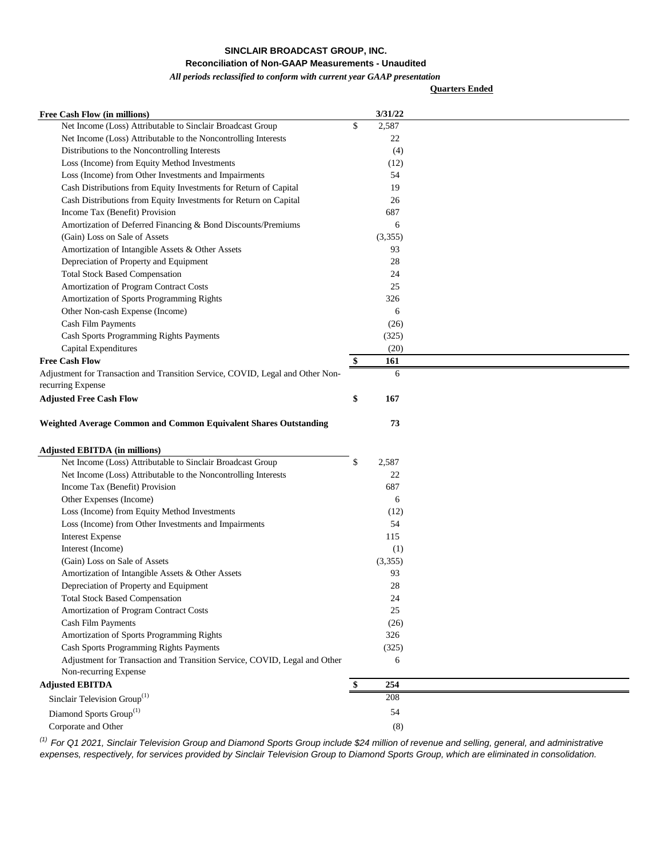## **Reconciliation of Non-GAAP Measurements - Unaudited**

## *All periods reclassified to conform with current year GAAP presentation*

**Quarters Ended**

| <b>Free Cash Flow (in millions)</b>                                                                      | 3/31/22     |  |
|----------------------------------------------------------------------------------------------------------|-------------|--|
| Net Income (Loss) Attributable to Sinclair Broadcast Group                                               | \$<br>2,587 |  |
| Net Income (Loss) Attributable to the Noncontrolling Interests                                           | 22          |  |
| Distributions to the Noncontrolling Interests                                                            | (4)         |  |
| Loss (Income) from Equity Method Investments                                                             | (12)        |  |
| Loss (Income) from Other Investments and Impairments                                                     | 54          |  |
| Cash Distributions from Equity Investments for Return of Capital                                         | 19          |  |
| Cash Distributions from Equity Investments for Return on Capital                                         | 26          |  |
| Income Tax (Benefit) Provision                                                                           | 687         |  |
| Amortization of Deferred Financing & Bond Discounts/Premiums                                             | 6           |  |
| (Gain) Loss on Sale of Assets                                                                            | (3,355)     |  |
| Amortization of Intangible Assets & Other Assets                                                         | 93          |  |
| Depreciation of Property and Equipment                                                                   | 28          |  |
| <b>Total Stock Based Compensation</b>                                                                    | 24          |  |
| Amortization of Program Contract Costs                                                                   | 25          |  |
| Amortization of Sports Programming Rights                                                                | 326         |  |
| Other Non-cash Expense (Income)                                                                          | 6           |  |
| Cash Film Payments                                                                                       | (26)        |  |
| Cash Sports Programming Rights Payments                                                                  | (325)       |  |
| Capital Expenditures                                                                                     | (20)        |  |
| <b>Free Cash Flow</b>                                                                                    | \$<br>161   |  |
| Adjustment for Transaction and Transition Service, COVID, Legal and Other Non-<br>recurring Expense      | 6           |  |
| <b>Adjusted Free Cash Flow</b>                                                                           | \$<br>167   |  |
| Weighted Average Common and Common Equivalent Shares Outstanding<br><b>Adjusted EBITDA (in millions)</b> | 73          |  |
| Net Income (Loss) Attributable to Sinclair Broadcast Group                                               | \$<br>2,587 |  |
| Net Income (Loss) Attributable to the Noncontrolling Interests                                           | 22          |  |
| Income Tax (Benefit) Provision                                                                           | 687         |  |
| Other Expenses (Income)                                                                                  | 6           |  |
| Loss (Income) from Equity Method Investments                                                             | (12)        |  |
| Loss (Income) from Other Investments and Impairments                                                     | 54          |  |
| <b>Interest Expense</b>                                                                                  | 115         |  |
| Interest (Income)                                                                                        | (1)         |  |
| (Gain) Loss on Sale of Assets                                                                            | (3,355)     |  |
| Amortization of Intangible Assets & Other Assets                                                         | 93          |  |
| Depreciation of Property and Equipment                                                                   | 28          |  |
| <b>Total Stock Based Compensation</b>                                                                    | 24          |  |
| Amortization of Program Contract Costs                                                                   | 25          |  |
| Cash Film Payments                                                                                       | (26)        |  |
| Amortization of Sports Programming Rights                                                                | 326         |  |
| Cash Sports Programming Rights Payments                                                                  | (325)       |  |
| Adjustment for Transaction and Transition Service, COVID, Legal and Other<br>Non-recurring Expense       | 6           |  |
| <b>Adjusted EBITDA</b>                                                                                   | \$<br>254   |  |
| Sinclair Television Group <sup>(1)</sup>                                                                 | 208         |  |
| Diamond Sports $\mathrm{Group}^{(1)}$                                                                    | 54          |  |
| Corporate and Other                                                                                      | (8)         |  |
|                                                                                                          |             |  |

*(1) For Q1 2021, Sinclair Television Group and Diamond Sports Group include \$24 million of revenue and selling, general, and administrative expenses, respectively, for services provided by Sinclair Television Group to Diamond Sports Group, which are eliminated in consolidation.*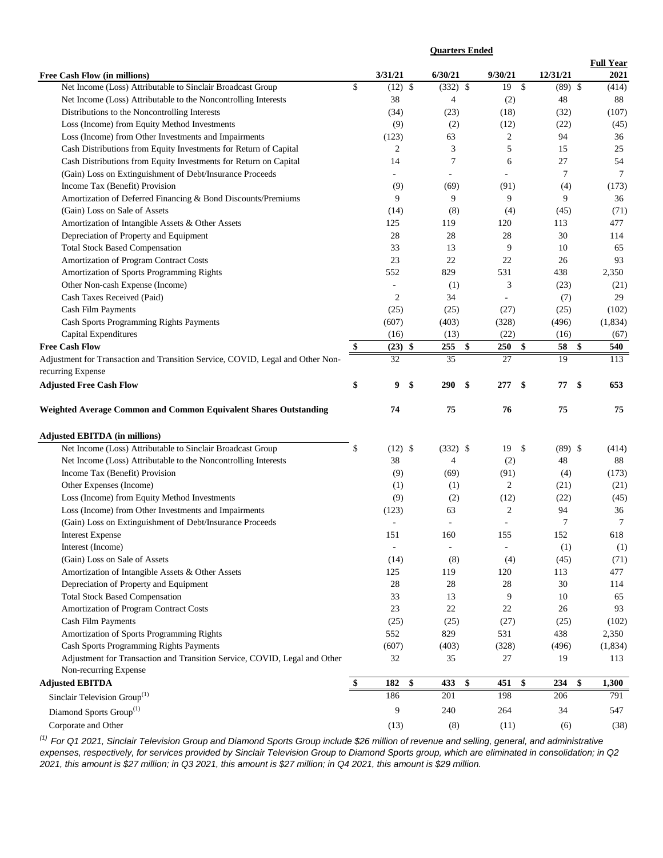|                                                                                                                              |                          | <b>Quarters Ended</b>    |                     |           |                  |
|------------------------------------------------------------------------------------------------------------------------------|--------------------------|--------------------------|---------------------|-----------|------------------|
|                                                                                                                              |                          |                          |                     |           | <b>Full Year</b> |
| Free Cash Flow (in millions)                                                                                                 | 3/31/21                  | 6/30/21                  | 9/30/21             | 12/31/21  | 2021             |
| Net Income (Loss) Attributable to Sinclair Broadcast Group                                                                   | \$<br>$(12)$ \$<br>38    | $(332)$ \$               | 19<br>$\mathcal{S}$ | $(89)$ \$ | (414)            |
| Net Income (Loss) Attributable to the Noncontrolling Interests<br>Distributions to the Noncontrolling Interests              | (34)                     | 4<br>(23)                | (2)<br>(18)         | 48        | 88               |
|                                                                                                                              |                          |                          |                     | (32)      | (107)            |
| Loss (Income) from Equity Method Investments                                                                                 | (9)                      | (2)                      | (12)                | (22)      | (45)             |
| Loss (Income) from Other Investments and Impairments<br>Cash Distributions from Equity Investments for Return of Capital     | (123)<br>2               | 63                       | 2<br>5              | 94<br>15  | 36<br>25         |
|                                                                                                                              | 14                       | 3<br>$\tau$              | 6                   | 27        | 54               |
| Cash Distributions from Equity Investments for Return on Capital<br>(Gain) Loss on Extinguishment of Debt/Insurance Proceeds |                          |                          |                     | $\tau$    | $\tau$           |
|                                                                                                                              |                          |                          |                     |           |                  |
| Income Tax (Benefit) Provision                                                                                               | (9)<br>9                 | (69)<br>9                | (91)<br>9           | (4)<br>9  | (173)            |
| Amortization of Deferred Financing & Bond Discounts/Premiums<br>(Gain) Loss on Sale of Assets                                | (14)                     |                          |                     |           | 36               |
|                                                                                                                              |                          | (8)                      | (4)                 | (45)      | (71)             |
| Amortization of Intangible Assets & Other Assets                                                                             | 125                      | 119                      | 120                 | 113       | 477              |
| Depreciation of Property and Equipment                                                                                       | 28                       | 28                       | 28                  | 30        | 114              |
| <b>Total Stock Based Compensation</b>                                                                                        | 33                       | 13                       | 9                   | 10        | 65               |
| Amortization of Program Contract Costs                                                                                       | 23                       | 22                       | 22                  | 26        | 93               |
| Amortization of Sports Programming Rights                                                                                    | 552                      | 829                      | 531                 | 438       | 2,350            |
| Other Non-cash Expense (Income)                                                                                              | $\overline{\phantom{a}}$ | (1)                      | 3                   | (23)      | (21)             |
| Cash Taxes Received (Paid)                                                                                                   | $\overline{2}$           | 34                       | L.                  | (7)       | 29               |
| Cash Film Payments                                                                                                           | (25)                     | (25)                     | (27)                | (25)      | (102)            |
| Cash Sports Programming Rights Payments                                                                                      | (607)                    | (403)                    | (328)               | (496)     | (1, 834)         |
| Capital Expenditures                                                                                                         | (16)                     | (13)                     | (22)                | (16)      | (67)             |
| <b>Free Cash Flow</b>                                                                                                        | \$<br>(23)<br>\$         | 255<br>\$                | 250<br>\$           | 58<br>\$  | 540              |
| Adjustment for Transaction and Transition Service, COVID, Legal and Other Non-                                               | 32                       | 35                       | 27                  | 19        | 113              |
| recurring Expense                                                                                                            |                          |                          |                     |           |                  |
| <b>Adjusted Free Cash Flow</b>                                                                                               | \$<br>9<br>\$            | <b>290</b><br>\$         | \$<br>277           | \$<br>77  | 653              |
| Weighted Average Common and Common Equivalent Shares Outstanding                                                             | 74                       | 75                       | 76                  | 75        | 75               |
| <b>Adjusted EBITDA (in millions)</b>                                                                                         |                          |                          |                     |           |                  |
| Net Income (Loss) Attributable to Sinclair Broadcast Group                                                                   | \$<br>$(12)$ \$          | $(332)$ \$               | 19<br>\$            | $(89)$ \$ | (414)            |
| Net Income (Loss) Attributable to the Noncontrolling Interests                                                               | 38                       | $\overline{4}$           | (2)                 | 48        | 88               |
| Income Tax (Benefit) Provision                                                                                               | (9)                      | (69)                     | (91)                | (4)       | (173)            |
| Other Expenses (Income)                                                                                                      | (1)                      | (1)                      | 2                   | (21)      | (21)             |
| Loss (Income) from Equity Method Investments                                                                                 | (9)                      | (2)                      | (12)                | (22)      | (45)             |
| Loss (Income) from Other Investments and Impairments                                                                         | (123)                    | 63                       | $\overline{2}$      | 94        | 36               |
| (Gain) Loss on Extinguishment of Debt/Insurance Proceeds                                                                     | $\overline{\phantom{a}}$ | $\overline{\phantom{a}}$ |                     | $\tau$    | $\tau$           |
| <b>Interest Expense</b>                                                                                                      | 151                      | 160                      | 155                 | 152       | 618              |
| Interest (Income)                                                                                                            | $\blacksquare$           | $\overline{\phantom{a}}$ |                     | (1)       | (1)              |
| (Gain) Loss on Sale of Assets                                                                                                | (14)                     | (8)                      | (4)                 | (45)      | (71)             |
| Amortization of Intangible Assets & Other Assets                                                                             | 125                      | 119                      | 120                 | 113       | 477              |
| Depreciation of Property and Equipment                                                                                       | 28                       | 28                       | 28                  | 30        | 114              |
| <b>Total Stock Based Compensation</b>                                                                                        | 33                       | 13                       | 9                   | 10        | 65               |
| Amortization of Program Contract Costs                                                                                       | 23                       | $22\,$                   | 22                  | 26        | 93               |
| Cash Film Payments                                                                                                           | (25)                     | (25)                     | (27)                | (25)      | (102)            |
| Amortization of Sports Programming Rights                                                                                    | 552                      | 829                      | 531                 | 438       | 2,350            |
| Cash Sports Programming Rights Payments                                                                                      | (607)                    | (403)                    | (328)               | (496)     | (1, 834)         |
| Adjustment for Transaction and Transition Service, COVID, Legal and Other                                                    | 32                       | 35                       | 27                  | 19        | 113              |
| Non-recurring Expense                                                                                                        |                          |                          |                     |           |                  |
| <b>Adjusted EBITDA</b>                                                                                                       | \$<br>\$<br>182          | \$<br>433                | \$<br>451           | \$<br>234 | 1,300            |
|                                                                                                                              | 186                      | 201                      | 198                 | 206       | 791              |
| Sinclair Television Group <sup>(1)</sup>                                                                                     |                          |                          |                     |           |                  |
| Diamond Sports Group <sup>(1)</sup>                                                                                          | 9                        | 240                      | 264                 | 34        | 547              |
| Corporate and Other                                                                                                          | (13)                     | (8)                      | (11)                | (6)       | (38)             |

*(1) For Q1 2021, Sinclair Television Group and Diamond Sports Group include \$26 million of revenue and selling, general, and administrative expenses, respectively, for services provided by Sinclair Television Group to Diamond Sports group, which are eliminated in consolidation; in Q2 2021, this amount is \$27 million; in Q3 2021, this amount is \$27 million; in Q4 2021, this amount is \$29 million.*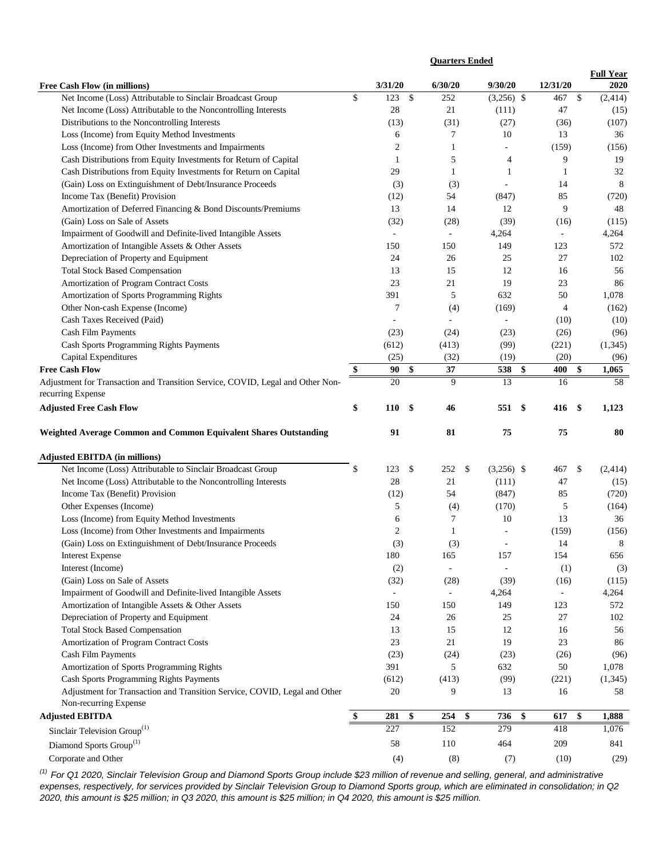|                                                                                                     | <b>Quarters Ended</b>    |               |                          |                          |                          |                  |
|-----------------------------------------------------------------------------------------------------|--------------------------|---------------|--------------------------|--------------------------|--------------------------|------------------|
|                                                                                                     |                          |               |                          |                          |                          | <b>Full Year</b> |
| Free Cash Flow (in millions)                                                                        | 3/31/20                  |               | 6/30/20                  | 9/30/20                  | 12/31/20                 | 2020             |
| Net Income (Loss) Attributable to Sinclair Broadcast Group                                          | \$<br>123                | $\mathcal{S}$ | 252                      | $(3,256)$ \$             | 467<br>\$                | (2, 414)         |
| Net Income (Loss) Attributable to the Noncontrolling Interests                                      | $28\,$                   |               | 21                       | (111)                    | 47                       | (15)             |
| Distributions to the Noncontrolling Interests                                                       | (13)                     |               | (31)                     | (27)                     | (36)                     | (107)            |
| Loss (Income) from Equity Method Investments                                                        | 6                        |               | 7                        | 10                       | 13                       | 36               |
| Loss (Income) from Other Investments and Impairments                                                | $\overline{c}$           |               | 1                        |                          | (159)                    | (156)            |
| Cash Distributions from Equity Investments for Return of Capital                                    | 1                        |               | 5                        | 4                        | 9                        | 19               |
| Cash Distributions from Equity Investments for Return on Capital                                    | 29                       |               | $\mathbf{1}$             | $\mathbf{1}$             | $\mathbf{1}$             | 32               |
| (Gain) Loss on Extinguishment of Debt/Insurance Proceeds                                            | (3)                      |               | (3)                      |                          | 14                       | 8                |
| Income Tax (Benefit) Provision                                                                      | (12)                     |               | 54                       | (847)                    | 85                       | (720)            |
| Amortization of Deferred Financing & Bond Discounts/Premiums                                        | 13                       |               | 14                       | 12                       | 9                        | 48               |
| (Gain) Loss on Sale of Assets                                                                       | (32)                     |               | (28)                     | (39)                     | (16)                     | (115)            |
| Impairment of Goodwill and Definite-lived Intangible Assets                                         | $\overline{\phantom{a}}$ |               | $\overline{\phantom{a}}$ | 4,264                    | $\overline{\phantom{a}}$ | 4,264            |
| Amortization of Intangible Assets & Other Assets                                                    | 150                      |               | 150                      | 149                      | 123                      | 572              |
| Depreciation of Property and Equipment                                                              | 24                       |               | 26                       | 25                       | 27                       | 102              |
| <b>Total Stock Based Compensation</b>                                                               | 13                       |               | 15                       | 12                       | 16                       | 56               |
| Amortization of Program Contract Costs                                                              | 23                       |               | 21                       | 19                       | 23                       | 86               |
| Amortization of Sports Programming Rights                                                           | 391                      |               | 5                        | 632                      | 50                       | 1,078            |
| Other Non-cash Expense (Income)                                                                     | 7                        |               | (4)                      | (169)                    | $\overline{4}$           | (162)            |
| Cash Taxes Received (Paid)                                                                          | ÷.                       |               | ÷.                       | $\bar{\phantom{a}}$      | (10)                     | (10)             |
| <b>Cash Film Payments</b>                                                                           | (23)                     |               | (24)                     | (23)                     | (26)                     | (96)             |
| Cash Sports Programming Rights Payments                                                             | (612)                    |               | (413)                    | (99)                     | (221)                    | (1, 345)         |
| Capital Expenditures                                                                                | (25)                     |               | (32)                     | (19)                     | (20)                     | (96)             |
| <b>Free Cash Flow</b>                                                                               | \$<br>90                 | \$            | 37                       | 538<br>\$                | \$<br>400                | 1,065            |
|                                                                                                     |                          |               |                          |                          |                          |                  |
| Adjustment for Transaction and Transition Service, COVID, Legal and Other Non-<br>recurring Expense | 20                       |               | 9                        | 13                       | 16                       | 58               |
| <b>Adjusted Free Cash Flow</b>                                                                      | \$<br>110                | \$            | 46                       | \$<br>551                | \$<br>416                | 1,123            |
|                                                                                                     |                          |               |                          |                          |                          |                  |
| Weighted Average Common and Common Equivalent Shares Outstanding                                    | 91                       |               | 81                       | 75                       | 75                       | 80               |
|                                                                                                     |                          |               |                          |                          |                          |                  |
| <b>Adjusted EBITDA (in millions)</b>                                                                |                          |               |                          |                          |                          |                  |
| Net Income (Loss) Attributable to Sinclair Broadcast Group                                          | \$<br>123                | \$            | 252<br>\$                | $(3,256)$ \$             | \$<br>467                | (2,414)          |
| Net Income (Loss) Attributable to the Noncontrolling Interests                                      | 28                       |               | 21                       | (111)                    | 47                       | (15)             |
| Income Tax (Benefit) Provision                                                                      | (12)                     |               | 54                       | (847)                    | 85                       | (720)            |
| Other Expenses (Income)                                                                             | 5                        |               | (4)                      | (170)                    | 5                        | (164)            |
| Loss (Income) from Equity Method Investments                                                        | 6                        |               | 7                        | 10                       | 13                       | 36               |
| Loss (Income) from Other Investments and Impairments                                                | $\overline{c}$           |               | $\mathbf{1}$             | $\sim$                   | (159)                    | (156)            |
| (Gain) Loss on Extinguishment of Debt/Insurance Proceeds                                            | (3)                      |               | (3)                      |                          | 14                       | 8                |
| <b>Interest Expense</b>                                                                             | 180                      |               | 165                      | 157                      | 154                      | 656              |
| Interest (Income)                                                                                   | (2)                      |               |                          | $\overline{\phantom{a}}$ | (1)                      | (3)              |
| (Gain) Loss on Sale of Assets                                                                       | (32)                     |               | (28)                     | (39)                     | (16)                     | (115)            |
| Impairment of Goodwill and Definite-lived Intangible Assets                                         | $\overline{\phantom{a}}$ |               | ÷,                       | 4,264                    | $\overline{\phantom{a}}$ | 4,264            |
| Amortization of Intangible Assets & Other Assets                                                    | 150                      |               | 150                      | 149                      | 123                      | 572              |
| Depreciation of Property and Equipment                                                              | 24                       |               | 26                       | 25                       | 27                       | 102              |
| <b>Total Stock Based Compensation</b>                                                               | 13                       |               | 15                       | 12                       | 16                       | 56               |
| Amortization of Program Contract Costs                                                              | 23                       |               | 21                       | 19                       | 23                       | 86               |
| Cash Film Payments                                                                                  | (23)                     |               | (24)                     | (23)                     | (26)                     | (96)             |
| Amortization of Sports Programming Rights                                                           | 391                      |               | 5                        | 632                      | 50                       | 1,078            |
| Cash Sports Programming Rights Payments                                                             | (612)                    |               | (413)                    | (99)                     | (221)                    | (1, 345)         |
| Adjustment for Transaction and Transition Service, COVID, Legal and Other                           | 20                       |               | 9                        | 13                       | 16                       | 58               |
|                                                                                                     |                          |               |                          |                          |                          |                  |
| Non-recurring Expense<br><b>Adjusted EBITDA</b>                                                     | \$<br>281                | \$            | \$<br>254                | \$<br>736                | \$<br>617                | 1,888            |
|                                                                                                     | 227                      |               |                          | 279                      |                          |                  |
| Sinclair Television Group <sup>(1)</sup>                                                            |                          |               | 152                      |                          | 418                      | 1,076            |
| Diamond Sports Group <sup>(1)</sup>                                                                 | 58                       |               | 110                      | 464                      | 209                      | 841              |
| Corporate and Other                                                                                 | (4)                      |               | (8)                      | (7)                      | (10)                     | (29)             |

*(1) For Q1 2020, Sinclair Television Group and Diamond Sports Group include \$23 million of revenue and selling, general, and administrative expenses, respectively, for services provided by Sinclair Television Group to Diamond Sports group, which are eliminated in consolidation; in Q2 2020, this amount is \$25 million; in Q3 2020, this amount is \$25 million; in Q4 2020, this amount is \$25 million.*